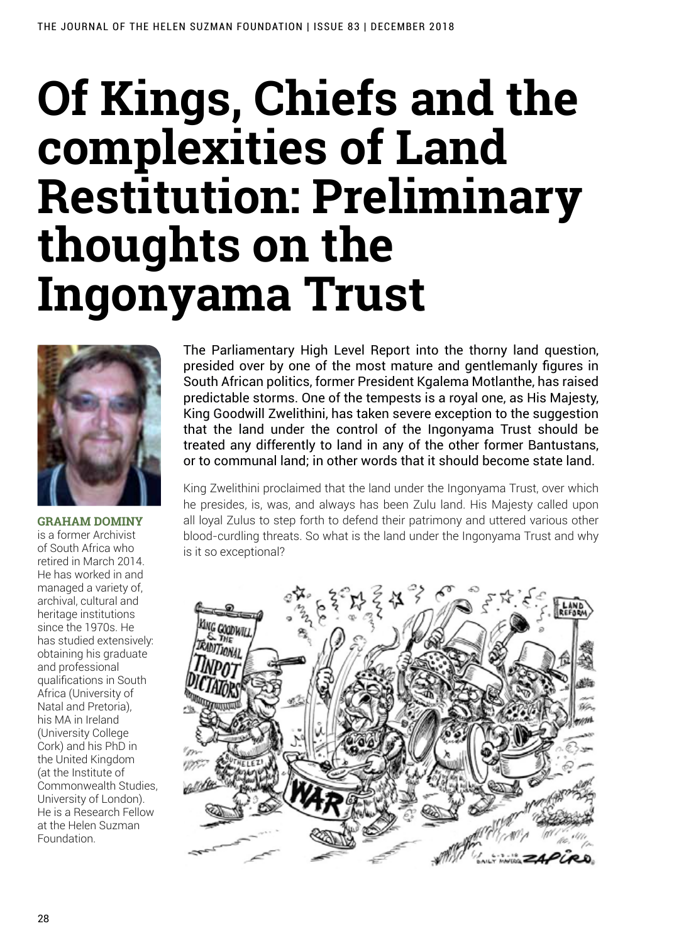## **Of Kings, Chiefs and the complexities of Land Restitution: Preliminary thoughts on the Ingonyama Trust**



**Graham Dominy**  is a former Archivist of South Africa who retired in March 2014. He has worked in and managed a variety of, archival, cultural and heritage institutions since the 1970s. He has studied extensively: obtaining his graduate and professional qualifications in South Africa (University of Natal and Pretoria), his MA in Ireland (University College Cork) and his PhD in the United Kingdom (at the Institute of Commonwealth Studies, University of London). He is a Research Fellow at the Helen Suzman Foundation.

The Parliamentary High Level Report into the thorny land question, presided over by one of the most mature and gentlemanly figures in South African politics, former President Kgalema Motlanthe, has raised predictable storms. One of the tempests is a royal one, as His Majesty, King Goodwill Zwelithini, has taken severe exception to the suggestion that the land under the control of the Ingonyama Trust should be treated any differently to land in any of the other former Bantustans, or to communal land; in other words that it should become state land.

King Zwelithini proclaimed that the land under the Ingonyama Trust, over which he presides, is, was, and always has been Zulu land. His Majesty called upon all loyal Zulus to step forth to defend their patrimony and uttered various other blood-curdling threats. So what is the land under the Ingonyama Trust and why is it so exceptional?

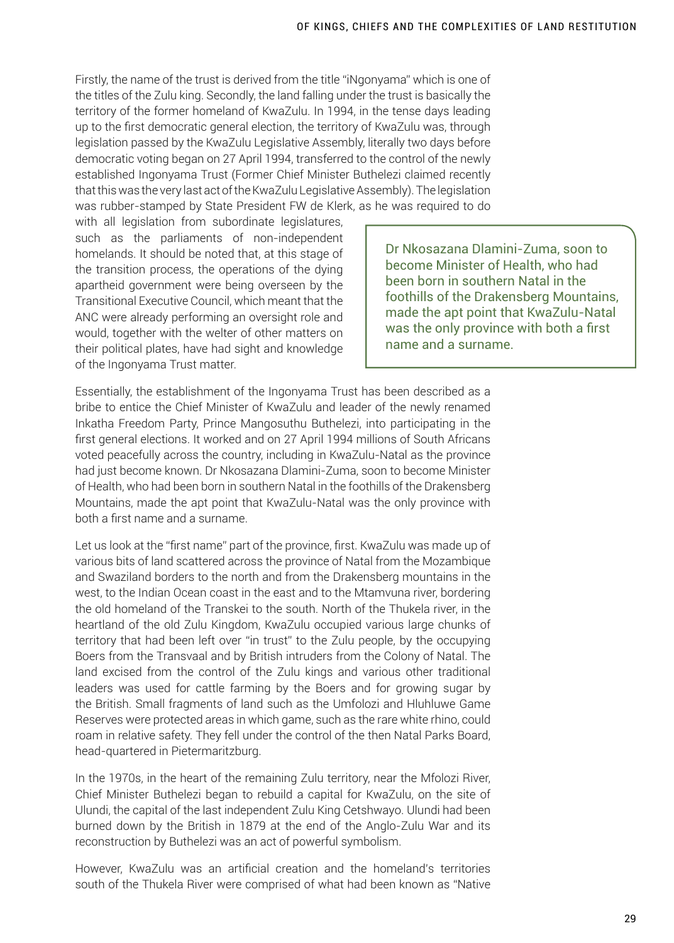Firstly, the name of the trust is derived from the title "iNgonyama" which is one of the titles of the Zulu king. Secondly, the land falling under the trust is basically the territory of the former homeland of KwaZulu. In 1994, in the tense days leading up to the first democratic general election, the territory of KwaZulu was, through legislation passed by the KwaZulu Legislative Assembly, literally two days before democratic voting began on 27 April 1994, transferred to the control of the newly established Ingonyama Trust (Former Chief Minister Buthelezi claimed recently that this was the very last act of the KwaZulu Legislative Assembly). The legislation was rubber-stamped by State President FW de Klerk, as he was required to do

with all legislation from subordinate legislatures, such as the parliaments of non-independent homelands. It should be noted that, at this stage of the transition process, the operations of the dying apartheid government were being overseen by the Transitional Executive Council, which meant that the ANC were already performing an oversight role and would, together with the welter of other matters on their political plates, have had sight and knowledge of the Ingonyama Trust matter.

Dr Nkosazana Dlamini-Zuma, soon to become Minister of Health, who had been born in southern Natal in the foothills of the Drakensberg Mountains, made the apt point that KwaZulu-Natal was the only province with both a first name and a surname.

Essentially, the establishment of the Ingonyama Trust has been described as a bribe to entice the Chief Minister of KwaZulu and leader of the newly renamed Inkatha Freedom Party, Prince Mangosuthu Buthelezi, into participating in the first general elections. It worked and on 27 April 1994 millions of South Africans voted peacefully across the country, including in KwaZulu-Natal as the province had just become known. Dr Nkosazana Dlamini-Zuma, soon to become Minister of Health, who had been born in southern Natal in the foothills of the Drakensberg Mountains, made the apt point that KwaZulu-Natal was the only province with both a first name and a surname.

Let us look at the "first name" part of the province, first. KwaZulu was made up of various bits of land scattered across the province of Natal from the Mozambique and Swaziland borders to the north and from the Drakensberg mountains in the west, to the Indian Ocean coast in the east and to the Mtamvuna river, bordering the old homeland of the Transkei to the south. North of the Thukela river, in the heartland of the old Zulu Kingdom, KwaZulu occupied various large chunks of territory that had been left over "in trust" to the Zulu people, by the occupying Boers from the Transvaal and by British intruders from the Colony of Natal. The land excised from the control of the Zulu kings and various other traditional leaders was used for cattle farming by the Boers and for growing sugar by the British. Small fragments of land such as the Umfolozi and Hluhluwe Game Reserves were protected areas in which game, such as the rare white rhino, could roam in relative safety. They fell under the control of the then Natal Parks Board, head-quartered in Pietermaritzburg.

In the 1970s, in the heart of the remaining Zulu territory, near the Mfolozi River, Chief Minister Buthelezi began to rebuild a capital for KwaZulu, on the site of Ulundi, the capital of the last independent Zulu King Cetshwayo. Ulundi had been burned down by the British in 1879 at the end of the Anglo-Zulu War and its reconstruction by Buthelezi was an act of powerful symbolism.

However, KwaZulu was an artificial creation and the homeland's territories south of the Thukela River were comprised of what had been known as "Native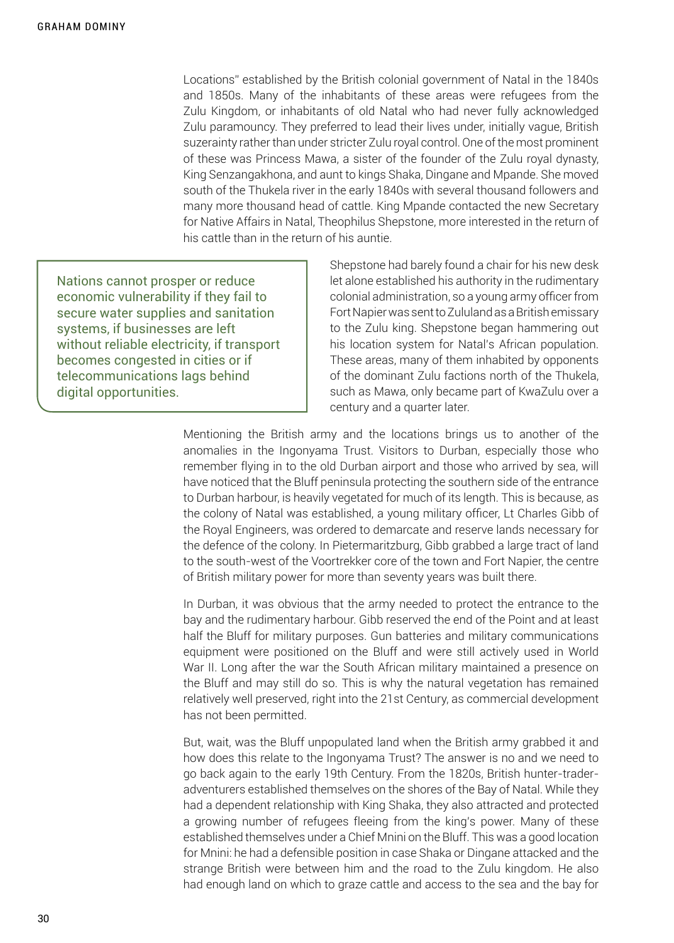Locations" established by the British colonial government of Natal in the 1840s and 1850s. Many of the inhabitants of these areas were refugees from the Zulu Kingdom, or inhabitants of old Natal who had never fully acknowledged Zulu paramouncy. They preferred to lead their lives under, initially vague, British suzerainty rather than under stricter Zulu royal control. One of the most prominent of these was Princess Mawa, a sister of the founder of the Zulu royal dynasty, King Senzangakhona, and aunt to kings Shaka, Dingane and Mpande. She moved south of the Thukela river in the early 1840s with several thousand followers and many more thousand head of cattle. King Mpande contacted the new Secretary for Native Affairs in Natal, Theophilus Shepstone, more interested in the return of his cattle than in the return of his auntie.

Nations cannot prosper or reduce economic vulnerability if they fail to secure water supplies and sanitation systems, if businesses are left without reliable electricity, if transport becomes congested in cities or if telecommunications lags behind digital opportunities.

Shepstone had barely found a chair for his new desk let alone established his authority in the rudimentary colonial administration, so a young army officer from Fort Napier was sent to Zululand as a British emissary to the Zulu king. Shepstone began hammering out his location system for Natal's African population. These areas, many of them inhabited by opponents of the dominant Zulu factions north of the Thukela, such as Mawa, only became part of KwaZulu over a century and a quarter later.

Mentioning the British army and the locations brings us to another of the anomalies in the Ingonyama Trust. Visitors to Durban, especially those who remember flying in to the old Durban airport and those who arrived by sea, will have noticed that the Bluff peninsula protecting the southern side of the entrance to Durban harbour, is heavily vegetated for much of its length. This is because, as the colony of Natal was established, a young military officer, Lt Charles Gibb of the Royal Engineers, was ordered to demarcate and reserve lands necessary for the defence of the colony. In Pietermaritzburg, Gibb grabbed a large tract of land to the south-west of the Voortrekker core of the town and Fort Napier, the centre of British military power for more than seventy years was built there.

In Durban, it was obvious that the army needed to protect the entrance to the bay and the rudimentary harbour. Gibb reserved the end of the Point and at least half the Bluff for military purposes. Gun batteries and military communications equipment were positioned on the Bluff and were still actively used in World War II. Long after the war the South African military maintained a presence on the Bluff and may still do so. This is why the natural vegetation has remained relatively well preserved, right into the 21st Century, as commercial development has not been permitted.

But, wait, was the Bluff unpopulated land when the British army grabbed it and how does this relate to the Ingonyama Trust? The answer is no and we need to go back again to the early 19th Century. From the 1820s, British hunter-traderadventurers established themselves on the shores of the Bay of Natal. While they had a dependent relationship with King Shaka, they also attracted and protected a growing number of refugees fleeing from the king's power. Many of these established themselves under a Chief Mnini on the Bluff. This was a good location for Mnini: he had a defensible position in case Shaka or Dingane attacked and the strange British were between him and the road to the Zulu kingdom. He also had enough land on which to graze cattle and access to the sea and the bay for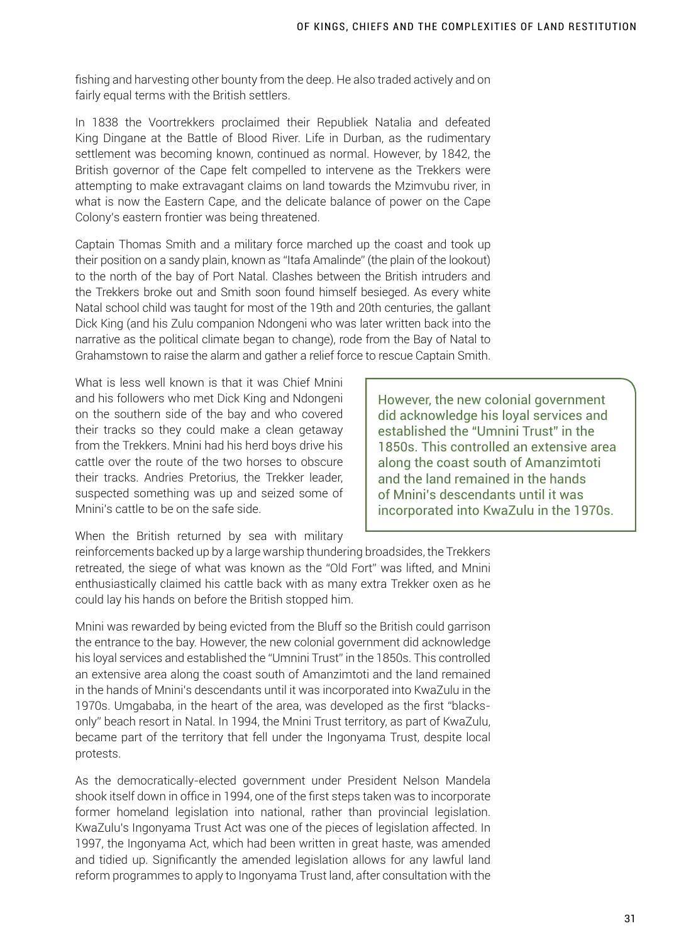fishing and harvesting other bounty from the deep. He also traded actively and on fairly equal terms with the British settlers.

In 1838 the Voortrekkers proclaimed their Republiek Natalia and defeated King Dingane at the Battle of Blood River. Life in Durban, as the rudimentary settlement was becoming known, continued as normal. However, by 1842, the British governor of the Cape felt compelled to intervene as the Trekkers were attempting to make extravagant claims on land towards the Mzimvubu river, in what is now the Eastern Cape, and the delicate balance of power on the Cape Colony's eastern frontier was being threatened.

Captain Thomas Smith and a military force marched up the coast and took up their position on a sandy plain, known as "Itafa Amalinde" (the plain of the lookout) to the north of the bay of Port Natal. Clashes between the British intruders and the Trekkers broke out and Smith soon found himself besieged. As every white Natal school child was taught for most of the 19th and 20th centuries, the gallant Dick King (and his Zulu companion Ndongeni who was later written back into the narrative as the political climate began to change), rode from the Bay of Natal to Grahamstown to raise the alarm and gather a relief force to rescue Captain Smith.

What is less well known is that it was Chief Mnini and his followers who met Dick King and Ndongeni on the southern side of the bay and who covered their tracks so they could make a clean getaway from the Trekkers. Mnini had his herd boys drive his cattle over the route of the two horses to obscure their tracks. Andries Pretorius, the Trekker leader, suspected something was up and seized some of Mnini's cattle to be on the safe side.

However, the new colonial government did acknowledge his loyal services and established the "Umnini Trust" in the 1850s. This controlled an extensive area along the coast south of Amanzimtoti and the land remained in the hands of Mnini's descendants until it was incorporated into KwaZulu in the 1970s.

When the British returned by sea with military

reinforcements backed up by a large warship thundering broadsides, the Trekkers retreated, the siege of what was known as the "Old Fort" was lifted, and Mnini enthusiastically claimed his cattle back with as many extra Trekker oxen as he could lay his hands on before the British stopped him.

Mnini was rewarded by being evicted from the Bluff so the British could garrison the entrance to the bay. However, the new colonial government did acknowledge his loyal services and established the "Umnini Trust" in the 1850s. This controlled an extensive area along the coast south of Amanzimtoti and the land remained in the hands of Mnini's descendants until it was incorporated into KwaZulu in the 1970s. Umgababa, in the heart of the area, was developed as the first "blacksonly" beach resort in Natal. In 1994, the Mnini Trust territory, as part of KwaZulu, became part of the territory that fell under the Ingonyama Trust, despite local protests.

As the democratically-elected government under President Nelson Mandela shook itself down in office in 1994, one of the first steps taken was to incorporate former homeland legislation into national, rather than provincial legislation. KwaZulu's Ingonyama Trust Act was one of the pieces of legislation affected. In 1997, the Ingonyama Act, which had been written in great haste, was amended and tidied up. Significantly the amended legislation allows for any lawful land reform programmes to apply to Ingonyama Trust land, after consultation with the